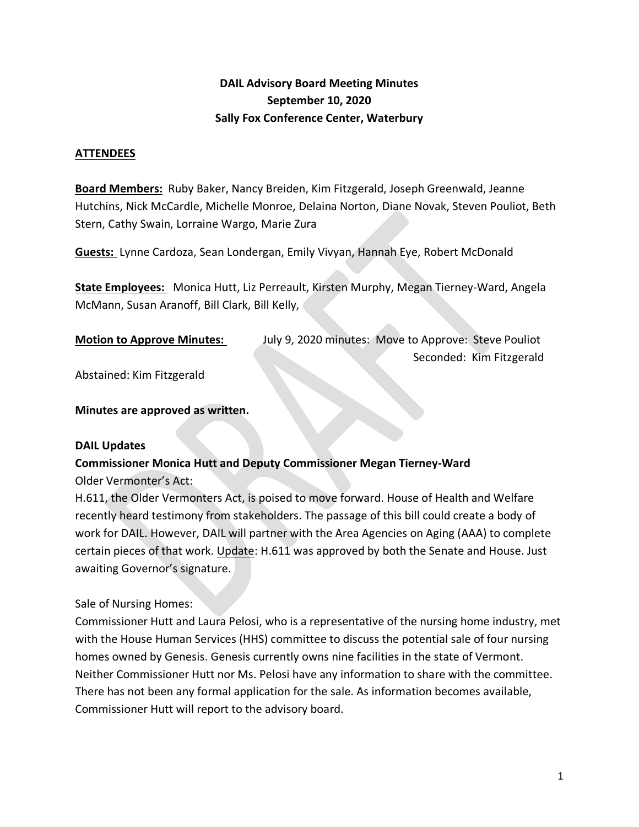# **DAIL Advisory Board Meeting Minutes September 10, 2020 Sally Fox Conference Center, Waterbury**

#### **ATTENDEES**

**Board Members:** Ruby Baker, Nancy Breiden, Kim Fitzgerald, Joseph Greenwald, Jeanne Hutchins, Nick McCardle, Michelle Monroe, Delaina Norton, Diane Novak, Steven Pouliot, Beth Stern, Cathy Swain, Lorraine Wargo, Marie Zura

**Guests:** Lynne Cardoza, Sean Londergan, Emily Vivyan, Hannah Eye, Robert McDonald

**State Employees:** Monica Hutt, Liz Perreault, Kirsten Murphy, Megan Tierney-Ward, Angela McMann, Susan Aranoff, Bill Clark, Bill Kelly,

| <b>Motion to Approve Minutes:</b> | July 9, 2020 minutes: Move to Approve: Steve Pouliot |
|-----------------------------------|------------------------------------------------------|
|                                   | Seconded: Kim Fitzgerald                             |

Abstained: Kim Fitzgerald

**Minutes are approved as written.** 

#### **DAIL Updates**

### **Commissioner Monica Hutt and Deputy Commissioner Megan Tierney-Ward** Older Vermonter's Act:

H.611, the Older Vermonters Act, is poised to move forward. House of Health and Welfare recently heard testimony from stakeholders. The passage of this bill could create a body of work for DAIL. However, DAIL will partner with the Area Agencies on Aging (AAA) to complete certain pieces of that work. Update: H.611 was approved by both the Senate and House. Just awaiting Governor's signature.

#### Sale of Nursing Homes:

Commissioner Hutt and Laura Pelosi, who is a representative of the nursing home industry, met with the House Human Services (HHS) committee to discuss the potential sale of four nursing homes owned by Genesis. Genesis currently owns nine facilities in the state of Vermont. Neither Commissioner Hutt nor Ms. Pelosi have any information to share with the committee. There has not been any formal application for the sale. As information becomes available, Commissioner Hutt will report to the advisory board.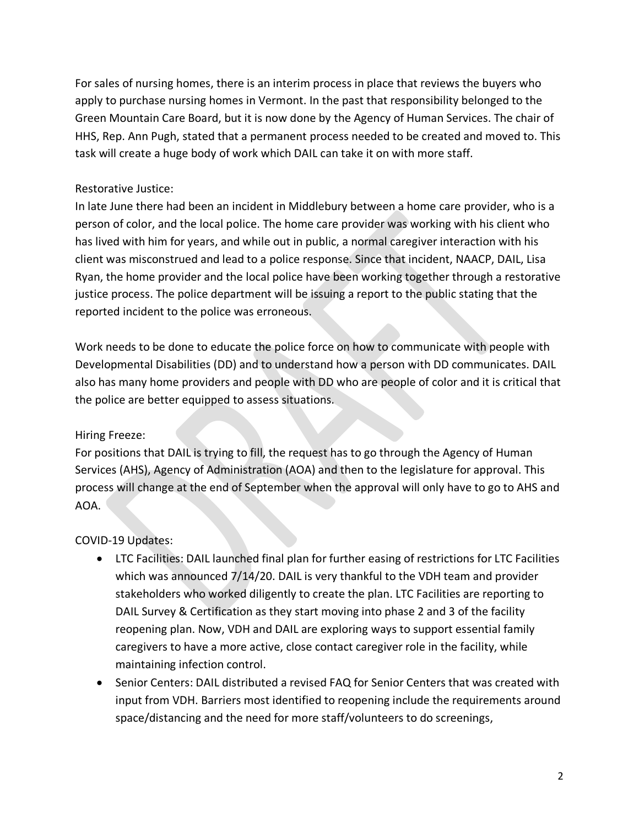For sales of nursing homes, there is an interim process in place that reviews the buyers who apply to purchase nursing homes in Vermont. In the past that responsibility belonged to the Green Mountain Care Board, but it is now done by the Agency of Human Services. The chair of HHS, Rep. Ann Pugh, stated that a permanent process needed to be created and moved to. This task will create a huge body of work which DAIL can take it on with more staff.

### Restorative Justice:

In late June there had been an incident in Middlebury between a home care provider, who is a person of color, and the local police. The home care provider was working with his client who has lived with him for years, and while out in public, a normal caregiver interaction with his client was misconstrued and lead to a police response. Since that incident, NAACP, DAIL, Lisa Ryan, the home provider and the local police have been working together through a restorative justice process. The police department will be issuing a report to the public stating that the reported incident to the police was erroneous.

Work needs to be done to educate the police force on how to communicate with people with Developmental Disabilities (DD) and to understand how a person with DD communicates. DAIL also has many home providers and people with DD who are people of color and it is critical that the police are better equipped to assess situations.

### Hiring Freeze:

For positions that DAIL is trying to fill, the request has to go through the Agency of Human Services (AHS), Agency of Administration (AOA) and then to the legislature for approval. This process will change at the end of September when the approval will only have to go to AHS and AOA.

# COVID-19 Updates:

- LTC Facilities: DAIL launched final plan for further easing of restrictions for LTC Facilities which was announced 7/14/20. DAIL is very thankful to the VDH team and provider stakeholders who worked diligently to create the plan. LTC Facilities are reporting to DAIL Survey & Certification as they start moving into phase 2 and 3 of the facility reopening plan. Now, VDH and DAIL are exploring ways to support essential family caregivers to have a more active, close contact caregiver role in the facility, while maintaining infection control.
- Senior Centers: DAIL distributed a revised FAQ for Senior Centers that was created with input from VDH. Barriers most identified to reopening include the requirements around space/distancing and the need for more staff/volunteers to do screenings,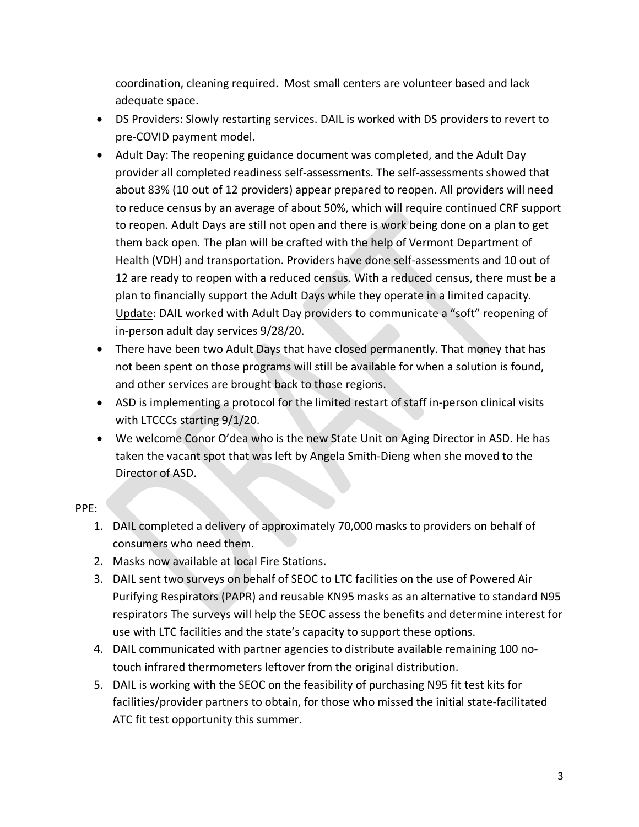coordination, cleaning required. Most small centers are volunteer based and lack adequate space.

- DS Providers: Slowly restarting services. DAIL is worked with DS providers to revert to pre-COVID payment model.
- Adult Day: The reopening guidance document was completed, and the Adult Day provider all completed readiness self-assessments. The self-assessments showed that about 83% (10 out of 12 providers) appear prepared to reopen. All providers will need to reduce census by an average of about 50%, which will require continued CRF support to reopen. Adult Days are still not open and there is work being done on a plan to get them back open. The plan will be crafted with the help of Vermont Department of Health (VDH) and transportation. Providers have done self-assessments and 10 out of 12 are ready to reopen with a reduced census. With a reduced census, there must be a plan to financially support the Adult Days while they operate in a limited capacity. Update: DAIL worked with Adult Day providers to communicate a "soft" reopening of in-person adult day services 9/28/20.
- There have been two Adult Days that have closed permanently. That money that has not been spent on those programs will still be available for when a solution is found, and other services are brought back to those regions.
- ASD is implementing a protocol for the limited restart of staff in-person clinical visits with LTCCCs starting 9/1/20.
- We welcome Conor O'dea who is the new State Unit on Aging Director in ASD. He has taken the vacant spot that was left by Angela Smith-Dieng when she moved to the Director of ASD.

### PPE:

- 1. DAIL completed a delivery of approximately 70,000 masks to providers on behalf of consumers who need them.
- 2. Masks now available at local Fire Stations.
- 3. DAIL sent two surveys on behalf of SEOC to LTC facilities on the use of Powered Air Purifying Respirators (PAPR) and reusable KN95 masks as an alternative to standard N95 respirators The surveys will help the SEOC assess the benefits and determine interest for use with LTC facilities and the state's capacity to support these options.
- 4. DAIL communicated with partner agencies to distribute available remaining 100 notouch infrared thermometers leftover from the original distribution.
- 5. DAIL is working with the SEOC on the feasibility of purchasing N95 fit test kits for facilities/provider partners to obtain, for those who missed the initial state-facilitated ATC fit test opportunity this summer.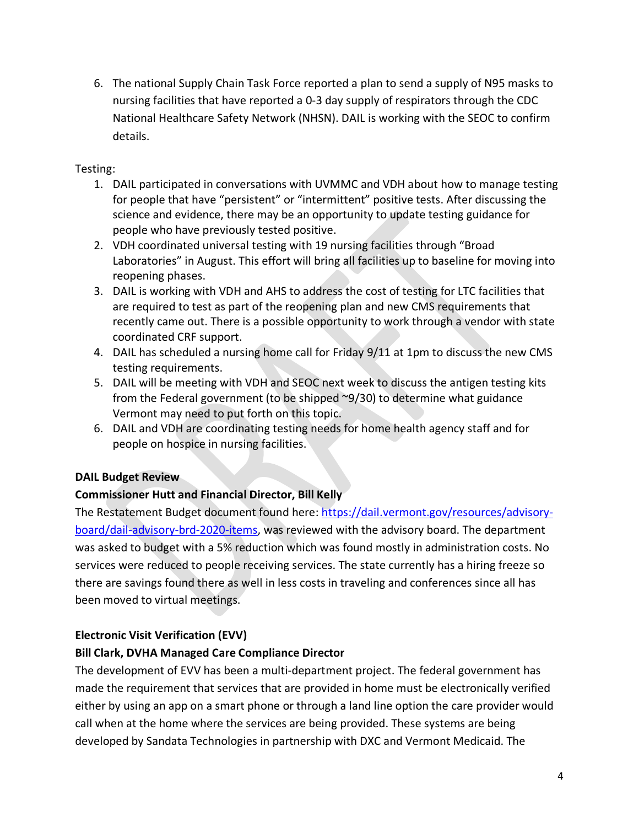6. The national Supply Chain Task Force reported a plan to send a supply of N95 masks to nursing facilities that have reported a 0-3 day supply of respirators through the CDC National Healthcare Safety Network (NHSN). DAIL is working with the SEOC to confirm details.

### Testing:

- 1. DAIL participated in conversations with UVMMC and VDH about how to manage testing for people that have "persistent" or "intermittent" positive tests. After discussing the science and evidence, there may be an opportunity to update testing guidance for people who have previously tested positive.
- 2. VDH coordinated universal testing with 19 nursing facilities through "Broad Laboratories" in August. This effort will bring all facilities up to baseline for moving into reopening phases.
- 3. DAIL is working with VDH and AHS to address the cost of testing for LTC facilities that are required to test as part of the reopening plan and new CMS requirements that recently came out. There is a possible opportunity to work through a vendor with state coordinated CRF support.
- 4. DAIL has scheduled a nursing home call for Friday 9/11 at 1pm to discuss the new CMS testing requirements.
- 5. DAIL will be meeting with VDH and SEOC next week to discuss the antigen testing kits from the Federal government (to be shipped ~9/30) to determine what guidance Vermont may need to put forth on this topic.
- 6. DAIL and VDH are coordinating testing needs for home health agency staff and for people on hospice in nursing facilities.

# **DAIL Budget Review**

# **Commissioner Hutt and Financial Director, Bill Kelly**

The Restatement Budget document found here: [https://dail.vermont.gov/resources/advisory](https://dail.vermont.gov/resources/advisory-board/dail-advisory-brd-2020-items)[board/dail-advisory-brd-2020-items,](https://dail.vermont.gov/resources/advisory-board/dail-advisory-brd-2020-items) was reviewed with the advisory board. The department was asked to budget with a 5% reduction which was found mostly in administration costs. No services were reduced to people receiving services. The state currently has a hiring freeze so there are savings found there as well in less costs in traveling and conferences since all has been moved to virtual meetings.

### **Electronic Visit Verification (EVV)**

### **Bill Clark, DVHA Managed Care Compliance Director**

The development of EVV has been a multi-department project. The federal government has made the requirement that services that are provided in home must be electronically verified either by using an app on a smart phone or through a land line option the care provider would call when at the home where the services are being provided. These systems are being developed by Sandata Technologies in partnership with DXC and Vermont Medicaid. The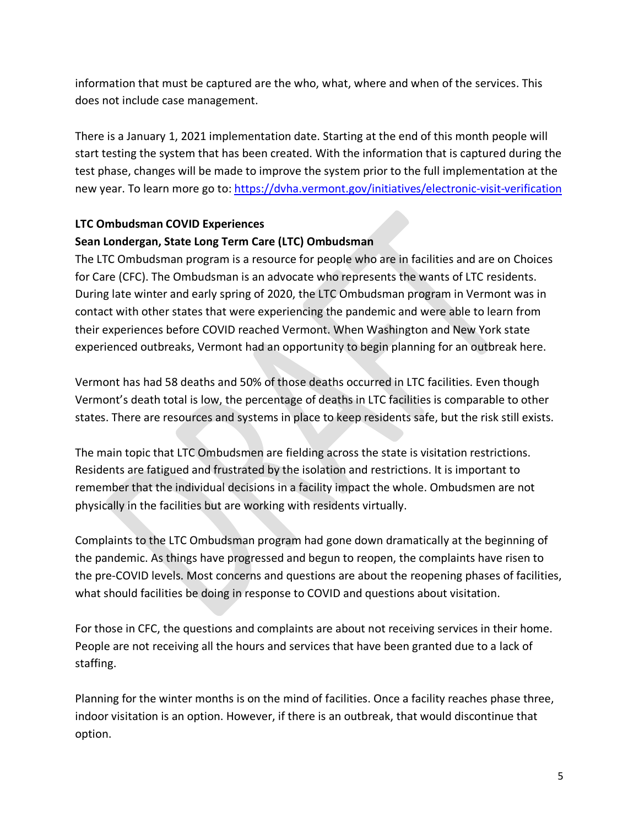information that must be captured are the who, what, where and when of the services. This does not include case management.

There is a January 1, 2021 implementation date. Starting at the end of this month people will start testing the system that has been created. With the information that is captured during the test phase, changes will be made to improve the system prior to the full implementation at the new year. To learn more go to:<https://dvha.vermont.gov/initiatives/electronic-visit-verification>

# **LTC Ombudsman COVID Experiences**

# **Sean Londergan, State Long Term Care (LTC) Ombudsman**

The LTC Ombudsman program is a resource for people who are in facilities and are on Choices for Care (CFC). The Ombudsman is an advocate who represents the wants of LTC residents. During late winter and early spring of 2020, the LTC Ombudsman program in Vermont was in contact with other states that were experiencing the pandemic and were able to learn from their experiences before COVID reached Vermont. When Washington and New York state experienced outbreaks, Vermont had an opportunity to begin planning for an outbreak here.

Vermont has had 58 deaths and 50% of those deaths occurred in LTC facilities. Even though Vermont's death total is low, the percentage of deaths in LTC facilities is comparable to other states. There are resources and systems in place to keep residents safe, but the risk still exists.

The main topic that LTC Ombudsmen are fielding across the state is visitation restrictions. Residents are fatigued and frustrated by the isolation and restrictions. It is important to remember that the individual decisions in a facility impact the whole. Ombudsmen are not physically in the facilities but are working with residents virtually.

Complaints to the LTC Ombudsman program had gone down dramatically at the beginning of the pandemic. As things have progressed and begun to reopen, the complaints have risen to the pre-COVID levels. Most concerns and questions are about the reopening phases of facilities, what should facilities be doing in response to COVID and questions about visitation.

For those in CFC, the questions and complaints are about not receiving services in their home. People are not receiving all the hours and services that have been granted due to a lack of staffing.

Planning for the winter months is on the mind of facilities. Once a facility reaches phase three, indoor visitation is an option. However, if there is an outbreak, that would discontinue that option.